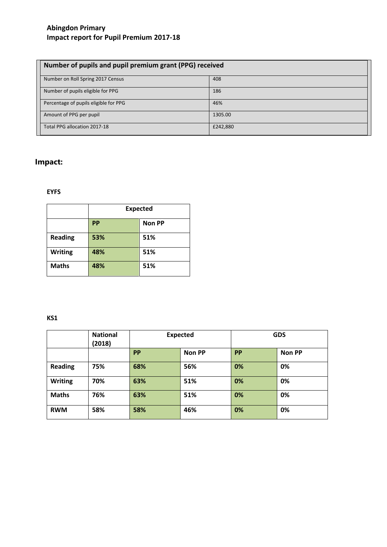| Number of pupils and pupil premium grant (PPG) received |          |  |  |  |
|---------------------------------------------------------|----------|--|--|--|
| Number on Roll Spring 2017 Census                       | 408      |  |  |  |
| Number of pupils eligible for PPG                       | 186      |  |  |  |
| Percentage of pupils eligible for PPG                   | 46%      |  |  |  |
| Amount of PPG per pupil                                 | 1305.00  |  |  |  |
| Total PPG allocation 2017-18                            | £242,880 |  |  |  |

# **Impact:**

## **EYFS**

|                | <b>Expected</b> |               |  |  |  |
|----------------|-----------------|---------------|--|--|--|
|                | PP              | <b>Non PP</b> |  |  |  |
| <b>Reading</b> | 53%             | 51%           |  |  |  |
| <b>Writing</b> | 48%             | 51%           |  |  |  |
| <b>Maths</b>   | 48%             | 51%           |  |  |  |

## **KS1**

|                | <b>National</b><br>(2018) |     | <b>Expected</b> | <b>GDS</b> |               |  |
|----------------|---------------------------|-----|-----------------|------------|---------------|--|
|                |                           | PP  | <b>Non PP</b>   | PP         | <b>Non PP</b> |  |
| <b>Reading</b> | 75%                       | 68% | 56%             | 0%         | 0%            |  |
| Writing        | 70%                       | 63% | 51%             | 0%         | 0%            |  |
| <b>Maths</b>   | 76%                       | 63% | 51%             | 0%         | 0%            |  |
| <b>RWM</b>     | 58%                       | 58% | 46%             | 0%         | 0%            |  |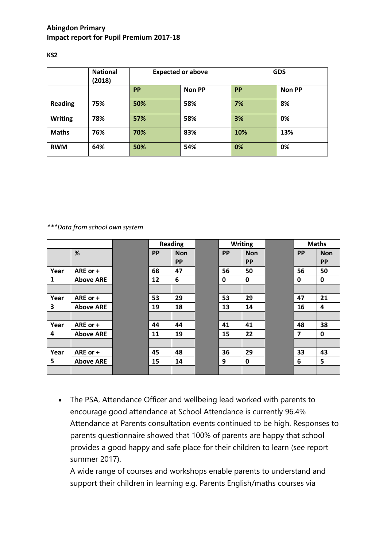|                | <b>National</b><br>(2018) |           | <b>Expected or above</b> | <b>GDS</b> |               |  |
|----------------|---------------------------|-----------|--------------------------|------------|---------------|--|
|                |                           | <b>PP</b> | <b>Non PP</b>            | PP         | <b>Non PP</b> |  |
| <b>Reading</b> | 75%                       | 50%       | 58%                      | 7%         | 8%            |  |
| <b>Writing</b> | 78%                       | 57%       | 58%                      | 3%         | 0%            |  |
| <b>Maths</b>   | 76%                       | 70%       | 83%                      | 10%        | 13%           |  |
| <b>RWM</b>     | 64%                       | 50%       | 54%                      | 0%         | 0%            |  |

**KS2**

*\*\*\*Data from school own system*

|      |                  | <b>Reading</b> |            | <b>Writing</b> |            | <b>Maths</b>            |             |
|------|------------------|----------------|------------|----------------|------------|-------------------------|-------------|
|      | %                | <b>PP</b>      | <b>Non</b> | <b>PP</b>      | <b>Non</b> | <b>PP</b>               | <b>Non</b>  |
|      |                  |                | <b>PP</b>  |                | <b>PP</b>  |                         | <b>PP</b>   |
| Year | ARE or +         | 68             | 47         | 56             | 50         | 56                      | 50          |
| 1    | <b>Above ARE</b> | 12             | 6          | 0              | 0          | 0                       | 0           |
|      |                  |                |            |                |            |                         |             |
| Year | ARE or +         | 53             | 29         | 53             | 29         | 47                      | 21          |
| 3    | <b>Above ARE</b> | 19             | 18         | 13             | 14         | 16                      | 4           |
|      |                  |                |            |                |            |                         |             |
| Year | ARE or +         | 44             | 44         | 41             | 41         | 48                      | 38          |
| 4    | <b>Above ARE</b> | 11             | 19         | 15             | 22         | $\overline{\mathbf{z}}$ | $\mathbf 0$ |
|      |                  |                |            |                |            |                         |             |
| Year | ARE or +         | 45             | 48         | 36             | 29         | 33                      | 43          |
| 5    | <b>Above ARE</b> | 15             | 14         | 9              | 0          | 6                       | 5           |
|      |                  |                |            |                |            |                         |             |

 The PSA, Attendance Officer and wellbeing lead worked with parents to encourage good attendance at School Attendance is currently 96.4% Attendance at Parents consultation events continued to be high. Responses to parents questionnaire showed that 100% of parents are happy that school provides a good happy and safe place for their children to learn (see report summer 2017).

A wide range of courses and workshops enable parents to understand and support their children in learning e.g. Parents English/maths courses via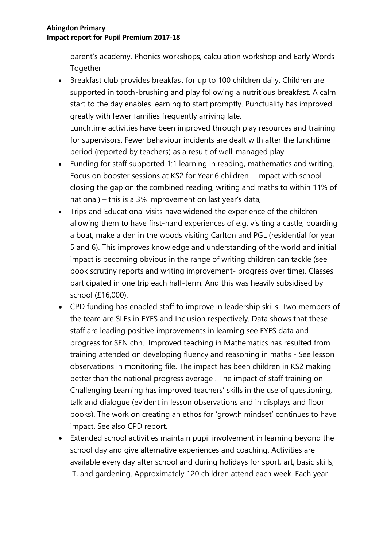parent's academy, Phonics workshops, calculation workshop and Early Words **Together** 

 Breakfast club provides breakfast for up to 100 children daily. Children are supported in tooth-brushing and play following a nutritious breakfast. A calm start to the day enables learning to start promptly. Punctuality has improved greatly with fewer families frequently arriving late. Lunchtime activities have been improved through play resources and training

for supervisors. Fewer behaviour incidents are dealt with after the lunchtime period (reported by teachers) as a result of well-managed play.

- Funding for staff supported 1:1 learning in reading, mathematics and writing. Focus on booster sessions at KS2 for Year 6 children – impact with school closing the gap on the combined reading, writing and maths to within 11% of national) – this is a 3% improvement on last year's data,
- Trips and Educational visits have widened the experience of the children allowing them to have first-hand experiences of e.g. visiting a castle, boarding a boat, make a den in the woods visiting Carlton and PGL (residential for year 5 and 6). This improves knowledge and understanding of the world and initial impact is becoming obvious in the range of writing children can tackle (see book scrutiny reports and writing improvement- progress over time). Classes participated in one trip each half-term. And this was heavily subsidised by school (£16,000).
- CPD funding has enabled staff to improve in leadership skills. Two members of the team are SLEs in EYFS and Inclusion respectively. Data shows that these staff are leading positive improvements in learning see EYFS data and progress for SEN chn. Improved teaching in Mathematics has resulted from training attended on developing fluency and reasoning in maths - See lesson observations in monitoring file. The impact has been children in KS2 making better than the national progress average . The impact of staff training on Challenging Learning has improved teachers' skills in the use of questioning, talk and dialogue (evident in lesson observations and in displays and floor books). The work on creating an ethos for 'growth mindset' continues to have impact. See also CPD report.
- Extended school activities maintain pupil involvement in learning beyond the school day and give alternative experiences and coaching. Activities are available every day after school and during holidays for sport, art, basic skills, IT, and gardening. Approximately 120 children attend each week. Each year